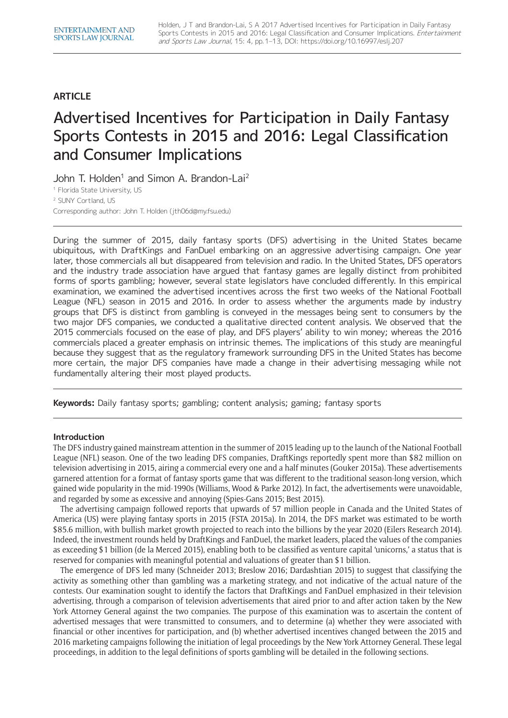# **ARTICLE**

# Advertised Incentives for Participation in Daily Fantasy Sports Contests in 2015 and 2016: Legal Classification and Consumer Implications

John T. Holden<sup>1</sup> and Simon A. Brandon-Lai<sup>2</sup>

<sup>1</sup> Florida State University, US

<sup>2</sup> SUNY Cortland, US Corresponding author: John T. Holden ([jth06d@my.fsu.edu](mailto:jth06d@my.fsu.edu))

During the summer of 2015, daily fantasy sports (DFS) advertising in the United States became ubiquitous, with DraftKings and FanDuel embarking on an aggressive advertising campaign. One year later, those commercials all but disappeared from television and radio. In the United States, DFS operators and the industry trade association have argued that fantasy games are legally distinct from prohibited forms of sports gambling; however, several state legislators have concluded differently. In this empirical examination, we examined the advertised incentives across the first two weeks of the National Football League (NFL) season in 2015 and 2016. In order to assess whether the arguments made by industry groups that DFS is distinct from gambling is conveyed in the messages being sent to consumers by the two major DFS companies, we conducted a qualitative directed content analysis. We observed that the 2015 commercials focused on the ease of play, and DFS players' ability to win money; whereas the 2016 commercials placed a greater emphasis on intrinsic themes. The implications of this study are meaningful because they suggest that as the regulatory framework surrounding DFS in the United States has become more certain, the major DFS companies have made a change in their advertising messaging while not fundamentally altering their most played products.

**Keywords:** Daily fantasy sports; gambling; content analysis; gaming; fantasy sports

# **Introduction**

The DFS industry gained mainstream attention in the summer of 2015 leading up to the launch of the National Football League (NFL) season. One of the two leading DFS companies, DraftKings reportedly spent more than \$82 million on television advertising in 2015, airing a commercial every one and a half minutes (Gouker 2015a). These advertisements garnered attention for a format of fantasy sports game that was different to the traditional season-long version, which gained wide popularity in the mid-1990s (Williams, Wood & Parke 2012). In fact, the advertisements were unavoidable, and regarded by some as excessive and annoying (Spies-Gans 2015; Best 2015).

The advertising campaign followed reports that upwards of 57 million people in Canada and the United States of America (US) were playing fantasy sports in 2015 (FSTA 2015a). In 2014, the DFS market was estimated to be worth \$85.6 million, with bullish market growth projected to reach into the billions by the year 2020 (Eilers Research 2014). Indeed, the investment rounds held by DraftKings and FanDuel, the market leaders, placed the values of the companies as exceeding \$1 billion (de la Merced 2015), enabling both to be classified as venture capital 'unicorns,' a status that is reserved for companies with meaningful potential and valuations of greater than \$1 billion.

The emergence of DFS led many (Schneider 2013; Breslow 2016; Dardashtian 2015) to suggest that classifying the activity as something other than gambling was a marketing strategy, and not indicative of the actual nature of the contests. Our examination sought to identify the factors that DraftKings and FanDuel emphasized in their television advertising, through a comparison of television advertisements that aired prior to and after action taken by the New York Attorney General against the two companies. The purpose of this examination was to ascertain the content of advertised messages that were transmitted to consumers, and to determine (a) whether they were associated with financial or other incentives for participation, and (b) whether advertised incentives changed between the 2015 and 2016 marketing campaigns following the initiation of legal proceedings by the New York Attorney General. These legal proceedings, in addition to the legal definitions of sports gambling will be detailed in the following sections.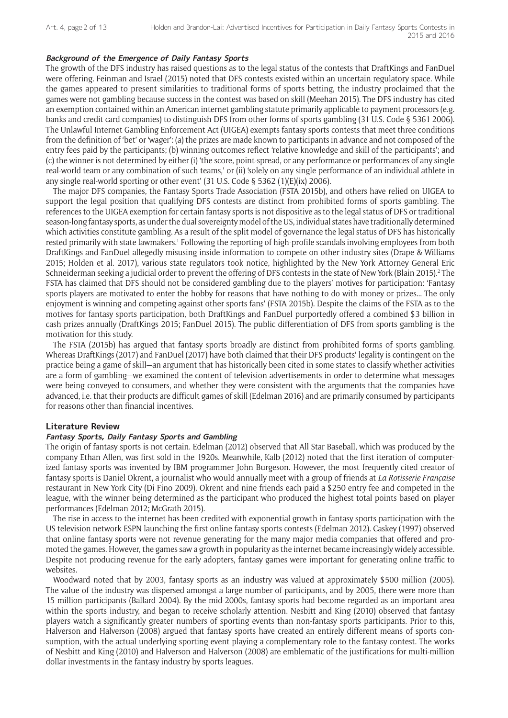# **Background of the Emergence of Daily Fantasy Sports**

The growth of the DFS industry has raised questions as to the legal status of the contests that DraftKings and FanDuel were offering. Feinman and Israel (2015) noted that DFS contests existed within an uncertain regulatory space. While the games appeared to present similarities to traditional forms of sports betting, the industry proclaimed that the games were not gambling because success in the contest was based on skill (Meehan 2015). The DFS industry has cited an exemption contained within an American internet gambling statute primarily applicable to payment processors (e.g. banks and credit card companies) to distinguish DFS from other forms of sports gambling (31 U.S. Code § 5361 2006). The Unlawful Internet Gambling Enforcement Act (UIGEA) exempts fantasy sports contests that meet three conditions from the definition of 'bet' or 'wager': (a) the prizes are made known to participants in advance and not composed of the entry fees paid by the participants; (b) winning outcomes reflect 'relative knowledge and skill of the participants'; and (c) the winner is not determined by either (i) 'the score, point-spread, or any performance or performances of any single real-world team or any combination of such teams,' or (ii) 'solely on any single performance of an individual athlete in any single real-world sporting or other event' (31 U.S. Code § 5362 (1)(E)(ix) 2006).

The major DFS companies, the Fantasy Sports Trade Association (FSTA 2015b), and others have relied on UIGEA to support the legal position that qualifying DFS contests are distinct from prohibited forms of sports gambling. The references to the UIGEA exemption for certain fantasy sports is not dispositive as to the legal status of DFS or traditional season-long fantasy sports, as under the dual sovereignty model of the US, individual states have traditionally determined which activities constitute gambling. As a result of the split model of governance the legal status of DFS has historically rested primarily with state lawmakers.<sup>1</sup> Following the reporting of high-profile scandals involving employees from both DraftKings and FanDuel allegedly misusing inside information to compete on other industry sites (Drape & Williams 2015; Holden et al. 2017), various state regulators took notice, highlighted by the New York Attorney General Eric Schneiderman seeking a judicial order to prevent the offering of DFS contests in the state of New York (Blain 2015).<sup>2</sup> The FSTA has claimed that DFS should not be considered gambling due to the players' motives for participation: 'Fantasy sports players are motivated to enter the hobby for reasons that have nothing to do with money or prizes... The only enjoyment is winning and competing against other sports fans' (FSTA 2015b). Despite the claims of the FSTA as to the motives for fantasy sports participation, both DraftKings and FanDuel purportedly offered a combined \$3 billion in cash prizes annually (DraftKings 2015; FanDuel 2015). The public differentiation of DFS from sports gambling is the motivation for this study.

The FSTA (2015b) has argued that fantasy sports broadly are distinct from prohibited forms of sports gambling. Whereas DraftKings (2017) and FanDuel (2017) have both claimed that their DFS products' legality is contingent on the practice being a game of skill—an argument that has historically been cited in some states to classify whether activities are a form of gambling—we examined the content of television advertisements in order to determine what messages were being conveyed to consumers, and whether they were consistent with the arguments that the companies have advanced, i.e. that their products are difficult games of skill (Edelman 2016) and are primarily consumed by participants for reasons other than financial incentives.

# **Literature Review**

## **Fantasy Sports, Daily Fantasy Sports and Gambling**

The origin of fantasy sports is not certain. Edelman (2012) observed that All Star Baseball, which was produced by the company Ethan Allen, was first sold in the 1920s. Meanwhile, Kalb (2012) noted that the first iteration of computerized fantasy sports was invented by IBM programmer John Burgeson. However, the most frequently cited creator of fantasy sports is Daniel Okrent, a journalist who would annually meet with a group of friends at *La Rotisserie Française* restaurant in New York City (Di Fino 2009). Okrent and nine friends each paid a \$250 entry fee and competed in the league, with the winner being determined as the participant who produced the highest total points based on player performances (Edelman 2012; McGrath 2015).

The rise in access to the internet has been credited with exponential growth in fantasy sports participation with the US television network ESPN launching the first online fantasy sports contests (Edelman 2012). Caskey (1997) observed that online fantasy sports were not revenue generating for the many major media companies that offered and promoted the games. However, the games saw a growth in popularity as the internet became increasingly widely accessible. Despite not producing revenue for the early adopters, fantasy games were important for generating online traffic to websites.

Woodward noted that by 2003, fantasy sports as an industry was valued at approximately \$500 million (2005). The value of the industry was dispersed amongst a large number of participants, and by 2005, there were more than 15 million participants (Ballard 2004). By the mid-2000s, fantasy sports had become regarded as an important area within the sports industry, and began to receive scholarly attention. Nesbitt and King (2010) observed that fantasy players watch a significantly greater numbers of sporting events than non-fantasy sports participants. Prior to this, Halverson and Halverson (2008) argued that fantasy sports have created an entirely different means of sports consumption, with the actual underlying sporting event playing a complementary role to the fantasy contest. The works of Nesbitt and King (2010) and Halverson and Halverson (2008) are emblematic of the justifications for multi-million dollar investments in the fantasy industry by sports leagues.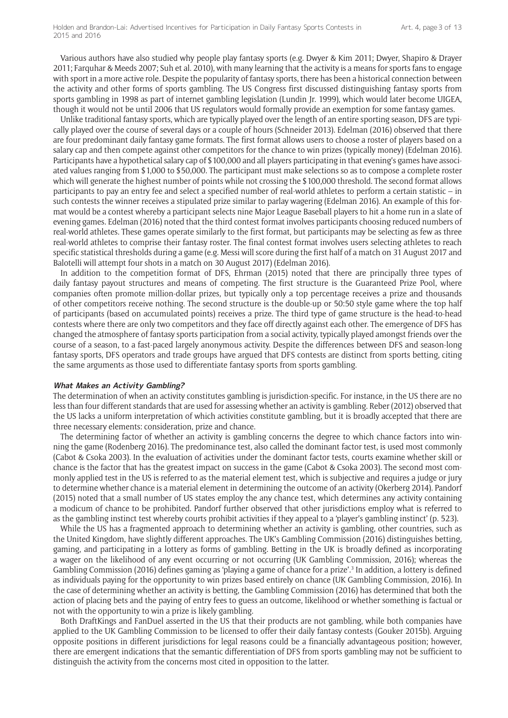Various authors have also studied why people play fantasy sports (e.g. Dwyer & Kim 2011; Dwyer, Shapiro & Drayer 2011; Farquhar & Meeds 2007; Suh et al. 2010), with many learning that the activity is a means for sports fans to engage with sport in a more active role. Despite the popularity of fantasy sports, there has been a historical connection between the activity and other forms of sports gambling. The US Congress first discussed distinguishing fantasy sports from sports gambling in 1998 as part of internet gambling legislation (Lundin Jr. 1999), which would later become UIGEA, though it would not be until 2006 that US regulators would formally provide an exemption for some fantasy games.

Unlike traditional fantasy sports, which are typically played over the length of an entire sporting season, DFS are typically played over the course of several days or a couple of hours (Schneider 2013). Edelman (2016) observed that there are four predominant daily fantasy game formats. The first format allows users to choose a roster of players based on a salary cap and then compete against other competitors for the chance to win prizes (typically money) (Edelman 2016). Participants have a hypothetical salary cap of \$100,000 and all players participating in that evening's games have associated values ranging from \$1,000 to \$50,000. The participant must make selections so as to compose a complete roster which will generate the highest number of points while not crossing the \$100,000 threshold. The second format allows participants to pay an entry fee and select a specified number of real-world athletes to perform a certain statistic – in such contests the winner receives a stipulated prize similar to parlay wagering (Edelman 2016). An example of this format would be a contest whereby a participant selects nine Major League Baseball players to hit a home run in a slate of evening games. Edelman (2016) noted that the third contest format involves participants choosing reduced numbers of real-world athletes. These games operate similarly to the first format, but participants may be selecting as few as three real-world athletes to comprise their fantasy roster. The final contest format involves users selecting athletes to reach specific statistical thresholds during a game (e.g. Messi will score during the first half of a match on 31 August 2017 and Balotelli will attempt four shots in a match on 30 August 2017) (Edelman 2016).

In addition to the competition format of DFS, Ehrman (2015) noted that there are principally three types of daily fantasy payout structures and means of competing. The first structure is the Guaranteed Prize Pool, where companies often promote million-dollar prizes, but typically only a top percentage receives a prize and thousands of other competitors receive nothing. The second structure is the double-up or 50:50 style game where the top half of participants (based on accumulated points) receives a prize. The third type of game structure is the head-to-head contests where there are only two competitors and they face off directly against each other. The emergence of DFS has changed the atmosphere of fantasy sports participation from a social activity, typically played amongst friends over the course of a season, to a fast-paced largely anonymous activity. Despite the differences between DFS and season-long fantasy sports, DFS operators and trade groups have argued that DFS contests are distinct from sports betting, citing the same arguments as those used to differentiate fantasy sports from sports gambling.

#### **What Makes an Activity Gambling?**

The determination of when an activity constitutes gambling is jurisdiction-specific. For instance, in the US there are no less than four different standards that are used for assessing whether an activity is gambling. Reber (2012) observed that the US lacks a uniform interpretation of which activities constitute gambling, but it is broadly accepted that there are three necessary elements: consideration, prize and chance.

The determining factor of whether an activity is gambling concerns the degree to which chance factors into winning the game (Rodenberg 2016). The predominance test, also called the dominant factor test, is used most commonly (Cabot & Csoka 2003). In the evaluation of activities under the dominant factor tests, courts examine whether skill or chance is the factor that has the greatest impact on success in the game (Cabot & Csoka 2003). The second most commonly applied test in the US is referred to as the material element test, which is subjective and requires a judge or jury to determine whether chance is a material element in determining the outcome of an activity (Okerberg 2014). Pandorf (2015) noted that a small number of US states employ the any chance test, which determines any activity containing a modicum of chance to be prohibited. Pandorf further observed that other jurisdictions employ what is referred to as the gambling instinct test whereby courts prohibit activities if they appeal to a 'player's gambling instinct' (p. 523).

While the US has a fragmented approach to determining whether an activity is gambling, other countries, such as the United Kingdom, have slightly different approaches. The UK's Gambling Commission (2016) distinguishes betting, gaming, and participating in a lottery as forms of gambling. Betting in the UK is broadly defined as incorporating a wager on the likelihood of any event occurring or not occurring (UK Gambling Commission, 2016); whereas the Gambling Commission (2016) defines gaming as 'playing a game of chance for a prize'.<sup>3</sup> In addition, a lottery is defined as individuals paying for the opportunity to win prizes based entirely on chance (UK Gambling Commission, 2016). In the case of determining whether an activity is betting, the Gambling Commission (2016) has determined that both the action of placing bets and the paying of entry fees to guess an outcome, likelihood or whether something is factual or not with the opportunity to win a prize is likely gambling.

Both DraftKings and FanDuel asserted in the US that their products are not gambling, while both companies have applied to the UK Gambling Commission to be licensed to offer their daily fantasy contests (Gouker 2015b). Arguing opposite positions in different jurisdictions for legal reasons could be a financially advantageous position; however, there are emergent indications that the semantic differentiation of DFS from sports gambling may not be sufficient to distinguish the activity from the concerns most cited in opposition to the latter.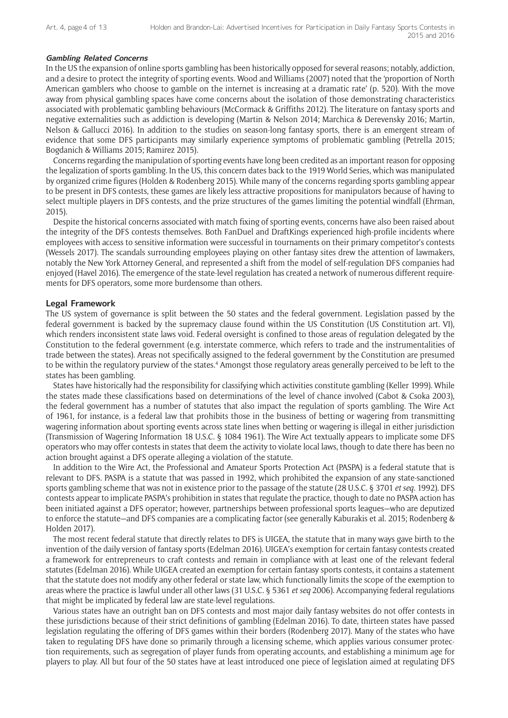#### **Gambling Related Concerns**

In the US the expansion of online sports gambling has been historically opposed for several reasons; notably, addiction, and a desire to protect the integrity of sporting events. Wood and Williams (2007) noted that the 'proportion of North American gamblers who choose to gamble on the internet is increasing at a dramatic rate' (p. 520). With the move away from physical gambling spaces have come concerns about the isolation of those demonstrating characteristics associated with problematic gambling behaviours (McCormack & Griffiths 2012). The literature on fantasy sports and negative externalities such as addiction is developing (Martin & Nelson 2014; Marchica & Derevensky 2016; Martin, Nelson & Gallucci 2016). In addition to the studies on season-long fantasy sports, there is an emergent stream of evidence that some DFS participants may similarly experience symptoms of problematic gambling (Petrella 2015; Bogdanich & Williams 2015; Ramirez 2015).

Concerns regarding the manipulation of sporting events have long been credited as an important reason for opposing the legalization of sports gambling. In the US, this concern dates back to the 1919 World Series, which was manipulated by organized crime figures (Holden & Rodenberg 2015). While many of the concerns regarding sports gambling appear to be present in DFS contests, these games are likely less attractive propositions for manipulators because of having to select multiple players in DFS contests, and the prize structures of the games limiting the potential windfall (Ehrman, 2015).

Despite the historical concerns associated with match fixing of sporting events, concerns have also been raised about the integrity of the DFS contests themselves. Both FanDuel and DraftKings experienced high-profile incidents where employees with access to sensitive information were successful in tournaments on their primary competitor's contests (Wessels 2017). The scandals surrounding employees playing on other fantasy sites drew the attention of lawmakers, notably the New York Attorney General, and represented a shift from the model of self-regulation DFS companies had enjoyed (Havel 2016). The emergence of the state-level regulation has created a network of numerous different requirements for DFS operators, some more burdensome than others.

#### **Legal Framework**

The US system of governance is split between the 50 states and the federal government. Legislation passed by the federal government is backed by the supremacy clause found within the US Constitution (US Constitution art. VI), which renders inconsistent state laws void. Federal oversight is confined to those areas of regulation delegated by the Constitution to the federal government (e.g. interstate commerce, which refers to trade and the instrumentalities of trade between the states). Areas not specifically assigned to the federal government by the Constitution are presumed to be within the regulatory purview of the states.<sup>4</sup> Amongst those regulatory areas generally perceived to be left to the states has been gambling.

States have historically had the responsibility for classifying which activities constitute gambling (Keller 1999). While the states made these classifications based on determinations of the level of chance involved (Cabot & Csoka 2003), the federal government has a number of statutes that also impact the regulation of sports gambling. The Wire Act of 1961, for instance, is a federal law that prohibits those in the business of betting or wagering from transmitting wagering information about sporting events across state lines when betting or wagering is illegal in either jurisdiction (Transmission of Wagering Information 18 U.S.C. § 1084 1961). The Wire Act textually appears to implicate some DFS operators who may offer contests in states that deem the activity to violate local laws, though to date there has been no action brought against a DFS operate alleging a violation of the statute.

In addition to the Wire Act, the Professional and Amateur Sports Protection Act (PASPA) is a federal statute that is relevant to DFS. PASPA is a statute that was passed in 1992, which prohibited the expansion of any state-sanctioned sports gambling scheme that was not in existence prior to the passage of the statute (28 U.S.C. § 3701 *et seq.* 1992). DFS contests appear to implicate PASPA's prohibition in states that regulate the practice, though to date no PASPA action has been initiated against a DFS operator; however, partnerships between professional sports leagues—who are deputized to enforce the statute—and DFS companies are a complicating factor (see generally Kaburakis et al. 2015; Rodenberg & Holden 2017).

The most recent federal statute that directly relates to DFS is UIGEA, the statute that in many ways gave birth to the invention of the daily version of fantasy sports (Edelman 2016). UIGEA's exemption for certain fantasy contests created a framework for entrepreneurs to craft contests and remain in compliance with at least one of the relevant federal statutes (Edelman 2016). While UIGEA created an exemption for certain fantasy sports contests, it contains a statement that the statute does not modify any other federal or state law, which functionally limits the scope of the exemption to areas where the practice is lawful under all other laws (31 U.S.C. § 5361 *et seq* 2006). Accompanying federal regulations that might be implicated by federal law are state-level regulations.

Various states have an outright ban on DFS contests and most major daily fantasy websites do not offer contests in these jurisdictions because of their strict definitions of gambling (Edelman 2016). To date, thirteen states have passed legislation regulating the offering of DFS games within their borders (Rodenberg 2017). Many of the states who have taken to regulating DFS have done so primarily through a licensing scheme, which applies various consumer protection requirements, such as segregation of player funds from operating accounts, and establishing a minimum age for players to play. All but four of the 50 states have at least introduced one piece of legislation aimed at regulating DFS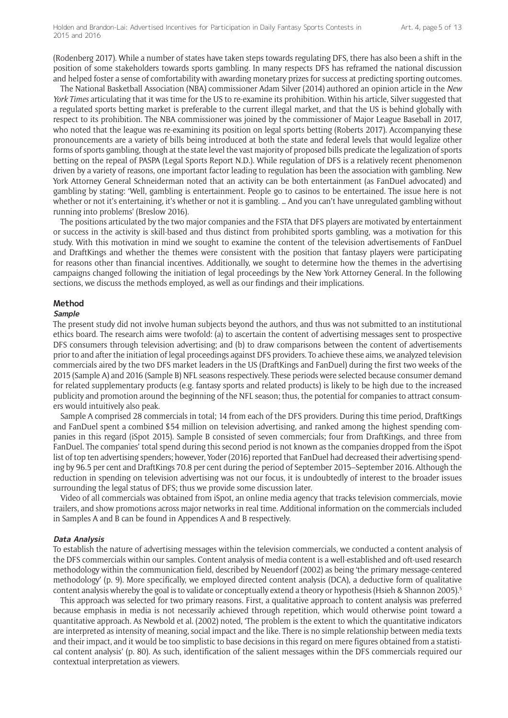(Rodenberg 2017). While a number of states have taken steps towards regulating DFS, there has also been a shift in the position of some stakeholders towards sports gambling. In many respects DFS has reframed the national discussion and helped foster a sense of comfortability with awarding monetary prizes for success at predicting sporting outcomes.

The National Basketball Association (NBA) commissioner Adam Silver (2014) authored an opinion article in the *New York Times* articulating that it was time for the US to re-examine its prohibition. Within his article, Silver suggested that a regulated sports betting market is preferable to the current illegal market, and that the US is behind globally with respect to its prohibition. The NBA commissioner was joined by the commissioner of Major League Baseball in 2017, who noted that the league was re-examining its position on legal sports betting (Roberts 2017). Accompanying these pronouncements are a variety of bills being introduced at both the state and federal levels that would legalize other forms of sports gambling, though at the state level the vast majority of proposed bills predicate the legalization of sports betting on the repeal of PASPA (Legal Sports Report N.D.). While regulation of DFS is a relatively recent phenomenon driven by a variety of reasons, one important factor leading to regulation has been the association with gambling. New York Attorney General Schneiderman noted that an activity can be both entertainment (as FanDuel advocated) and gambling by stating: 'Well, gambling is entertainment. People go to casinos to be entertained. The issue here is not whether or not it's entertaining, it's whether or not it is gambling. … And you can't have unregulated gambling without running into problems' (Breslow 2016).

The positions articulated by the two major companies and the FSTA that DFS players are motivated by entertainment or success in the activity is skill-based and thus distinct from prohibited sports gambling, was a motivation for this study. With this motivation in mind we sought to examine the content of the television advertisements of FanDuel and DraftKings and whether the themes were consistent with the position that fantasy players were participating for reasons other than financial incentives. Additionally, we sought to determine how the themes in the advertising campaigns changed following the initiation of legal proceedings by the New York Attorney General. In the following sections, we discuss the methods employed, as well as our findings and their implications.

#### **Method**

#### **Sample**

The present study did not involve human subjects beyond the authors, and thus was not submitted to an institutional ethics board. The research aims were twofold: (a) to ascertain the content of advertising messages sent to prospective DFS consumers through television advertising; and (b) to draw comparisons between the content of advertisements prior to and after the initiation of legal proceedings against DFS providers. To achieve these aims, we analyzed television commercials aired by the two DFS market leaders in the US (DraftKings and FanDuel) during the first two weeks of the 2015 (Sample A) and 2016 (Sample B) NFL seasons respectively. These periods were selected because consumer demand for related supplementary products (e.g. fantasy sports and related products) is likely to be high due to the increased publicity and promotion around the beginning of the NFL season; thus, the potential for companies to attract consumers would intuitively also peak.

Sample A comprised 28 commercials in total; 14 from each of the DFS providers. During this time period, DraftKings and FanDuel spent a combined \$54 million on television advertising, and ranked among the highest spending companies in this regard (iSpot 2015). Sample B consisted of seven commercials; four from DraftKings, and three from FanDuel. The companies' total spend during this second period is not known as the companies dropped from the iSpot list of top ten advertising spenders; however, Yoder (2016) reported that FanDuel had decreased their advertising spending by 96.5 per cent and DraftKings 70.8 per cent during the period of September 2015–September 2016. Although the reduction in spending on television advertising was not our focus, it is undoubtedly of interest to the broader issues surrounding the legal status of DFS; thus we provide some discussion later.

Video of all commercials was obtained from iSpot, an online media agency that tracks television commercials, movie trailers, and show promotions across major networks in real time. Additional information on the commercials included in Samples A and B can be found in Appendices A and B respectively.

#### **Data Analysis**

To establish the nature of advertising messages within the television commercials, we conducted a content analysis of the DFS commercials within our samples. Content analysis of media content is a well-established and oft-used research methodology within the communication field, described by Neuendorf (2002) as being 'the primary message-centered methodology' (p. 9). More specifically, we employed directed content analysis (DCA), a deductive form of qualitative content analysis whereby the goal is to validate or conceptually extend a theory or hypothesis (Hsieh & Shannon 2005).<sup>5</sup>

This approach was selected for two primary reasons. First, a qualitative approach to content analysis was preferred because emphasis in media is not necessarily achieved through repetition, which would otherwise point toward a quantitative approach. As Newbold et al. (2002) noted, 'The problem is the extent to which the quantitative indicators are interpreted as intensity of meaning, social impact and the like. There is no simple relationship between media texts and their impact, and it would be too simplistic to base decisions in this regard on mere figures obtained from a statistical content analysis' (p. 80). As such, identification of the salient messages within the DFS commercials required our contextual interpretation as viewers.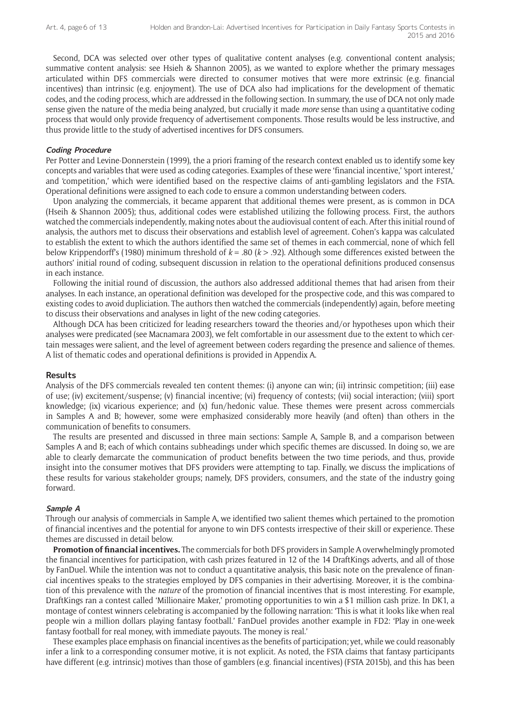Second, DCA was selected over other types of qualitative content analyses (e.g. conventional content analysis; summative content analysis: see Hsieh & Shannon 2005), as we wanted to explore whether the primary messages articulated within DFS commercials were directed to consumer motives that were more extrinsic (e.g. financial incentives) than intrinsic (e.g. enjoyment). The use of DCA also had implications for the development of thematic codes, and the coding process, which are addressed in the following section. In summary, the use of DCA not only made sense given the nature of the media being analyzed, but crucially it made *more* sense than using a quantitative coding process that would only provide frequency of advertisement components. Those results would be less instructive, and thus provide little to the study of advertised incentives for DFS consumers.

#### **Coding Procedure**

Per Potter and Levine-Donnerstein (1999), the a priori framing of the research context enabled us to identify some key concepts and variables that were used as coding categories. Examples of these were 'financial incentive,' 'sport interest,' and 'competition,' which were identified based on the respective claims of anti-gambling legislators and the FSTA. Operational definitions were assigned to each code to ensure a common understanding between coders.

Upon analyzing the commercials, it became apparent that additional themes were present, as is common in DCA (Hseih & Shannon 2005); thus, additional codes were established utilizing the following process. First, the authors watched the commercials independently, making notes about the audiovisual content of each. After this initial round of analysis, the authors met to discuss their observations and establish level of agreement. Cohen's kappa was calculated to establish the extent to which the authors identified the same set of themes in each commercial, none of which fell below Krippendorff's (1980) minimum threshold of *k* = .80 (*k* > .92). Although some differences existed between the authors' initial round of coding, subsequent discussion in relation to the operational definitions produced consensus in each instance.

Following the initial round of discussion, the authors also addressed additional themes that had arisen from their analyses. In each instance, an operational definition was developed for the prospective code, and this was compared to existing codes to avoid dupliciation. The authors then watched the commercials (independently) again, before meeting to discuss their observations and analyses in light of the new coding categories.

Although DCA has been criticized for leading researchers toward the theories and/or hypotheses upon which their analyses were predicated (see Macnamara 2003), we felt comfortable in our assessment due to the extent to which certain messages were salient, and the level of agreement between coders regarding the presence and salience of themes. A list of thematic codes and operational definitions is provided in Appendix A.

#### **Results**

Analysis of the DFS commercials revealed ten content themes: (i) anyone can win; (ii) intrinsic competition; (iii) ease of use; (iv) excitement/suspense; (v) financial incentive; (vi) frequency of contests; (vii) social interaction; (viii) sport knowledge; (ix) vicarious experience; and (x) fun/hedonic value. These themes were present across commercials in Samples A and B; however, some were emphasized considerably more heavily (and often) than others in the communication of benefits to consumers.

The results are presented and discussed in three main sections: Sample A, Sample B, and a comparison between Samples A and B; each of which contains subheadings under which specific themes are discussed. In doing so, we are able to clearly demarcate the communication of product benefits between the two time periods, and thus, provide insight into the consumer motives that DFS providers were attempting to tap. Finally, we discuss the implications of these results for various stakeholder groups; namely, DFS providers, consumers, and the state of the industry going forward.

#### **Sample A**

Through our analysis of commercials in Sample A, we identified two salient themes which pertained to the promotion of financial incentives and the potential for anyone to win DFS contests irrespective of their skill or experience. These themes are discussed in detail below.

**Promotion of financial incentives.** The commercials for both DFS providers in Sample A overwhelmingly promoted the financial incentives for participation, with cash prizes featured in 12 of the 14 DraftKings adverts, and all of those by FanDuel. While the intention was not to conduct a quantitative analysis, this basic note on the prevalence of financial incentives speaks to the strategies employed by DFS companies in their advertising. Moreover, it is the combination of this prevalence with the *nature* of the promotion of financial incentives that is most interesting. For example, DraftKings ran a contest called 'Millionaire Maker,' promoting opportunities to win a \$1 million cash prize. In DK1, a montage of contest winners celebrating is accompanied by the following narration: 'This is what it looks like when real people win a million dollars playing fantasy football.' FanDuel provides another example in FD2: 'Play in one-week fantasy football for real money, with immediate payouts. The money is real.'

These examples place emphasis on financial incentives as the benefits of participation; yet, while we could reasonably infer a link to a corresponding consumer motive, it is not explicit. As noted, the FSTA claims that fantasy participants have different (e.g. intrinsic) motives than those of gamblers (e.g. financial incentives) (FSTA 2015b), and this has been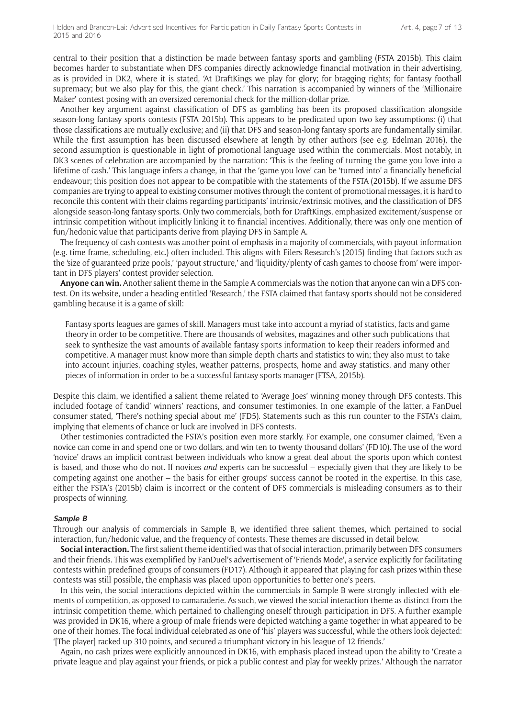central to their position that a distinction be made between fantasy sports and gambling (FSTA 2015b). This claim becomes harder to substantiate when DFS companies directly acknowledge financial motivation in their advertising, as is provided in DK2, where it is stated, 'At DraftKings we play for glory; for bragging rights; for fantasy football supremacy; but we also play for this, the giant check.' This narration is accompanied by winners of the 'Millionaire Maker' contest posing with an oversized ceremonial check for the million-dollar prize.

Another key argument against classification of DFS as gambling has been its proposed classification alongside season-long fantasy sports contests (FSTA 2015b). This appears to be predicated upon two key assumptions: (i) that those classifications are mutually exclusive; and (ii) that DFS and season-long fantasy sports are fundamentally similar. While the first assumption has been discussed elsewhere at length by other authors (see e.g. Edelman 2016), the second assumption is questionable in light of promotional language used within the commercials. Most notably, in DK3 scenes of celebration are accompanied by the narration: 'This is the feeling of turning the game you love into a lifetime of cash.' This language infers a change, in that the 'game you love' can be 'turned into' a financially beneficial endeavour; this position does not appear to be compatible with the statements of the FSTA (2015b). If we assume DFS companies are trying to appeal to existing consumer motives through the content of promotional messages, it is hard to reconcile this content with their claims regarding participants' intrinsic/extrinsic motives, and the classification of DFS alongside season-long fantasy sports. Only two commercials, both for DraftKings, emphasized excitement/suspense or intrinsic competition without implicitly linking it to financial incentives. Additionally, there was only one mention of fun/hedonic value that participants derive from playing DFS in Sample A.

The frequency of cash contests was another point of emphasis in a majority of commercials, with payout information (e.g. time frame, scheduling, etc.) often included. This aligns with Eilers Research's (2015) finding that factors such as the 'size of guaranteed prize pools,' 'payout structure,' and 'liquidity/plenty of cash games to choose from' were important in DFS players' contest provider selection.

**Anyone can win.** Another salient theme in the Sample A commercials was the notion that anyone can win a DFS contest. On its website, under a heading entitled 'Research,' the FSTA claimed that fantasy sports should not be considered gambling because it is a game of skill:

Fantasy sports leagues are games of skill. Managers must take into account a myriad of statistics, facts and game theory in order to be competitive. There are thousands of websites, magazines and other such publications that seek to synthesize the vast amounts of available fantasy sports information to keep their readers informed and competitive. A manager must know more than simple depth charts and statistics to win; they also must to take into account injuries, coaching styles, weather patterns, prospects, home and away statistics, and many other pieces of information in order to be a successful fantasy sports manager (FTSA, 2015b).

Despite this claim, we identified a salient theme related to 'Average Joes' winning money through DFS contests. This included footage of 'candid' winners' reactions, and consumer testimonies. In one example of the latter, a FanDuel consumer stated, 'There's nothing special about me' (FD5). Statements such as this run counter to the FSTA's claim, implying that elements of chance or luck are involved in DFS contests.

Other testimonies contradicted the FSTA's position even more starkly. For example, one consumer claimed, 'Even a novice can come in and spend one or two dollars, and win ten to twenty thousand dollars' (FD10). The use of the word 'novice' draws an implicit contrast between individuals who know a great deal about the sports upon which contest is based, and those who do not. If novices *and* experts can be successful – especially given that they are likely to be competing against one another – the basis for either groups' success cannot be rooted in the expertise. In this case, either the FSTA's (2015b) claim is incorrect or the content of DFS commercials is misleading consumers as to their prospects of winning.

#### **Sample B**

Through our analysis of commercials in Sample B, we identified three salient themes, which pertained to social interaction, fun/hedonic value, and the frequency of contests. These themes are discussed in detail below.

**Social interaction.** The first salient theme identified was that of social interaction, primarily between DFS consumers and their friends. This was exemplified by FanDuel's advertisement of 'Friends Mode', a service explicitly for facilitating contests within predefined groups of consumers (FD17). Although it appeared that playing for cash prizes within these contests was still possible, the emphasis was placed upon opportunities to better one's peers.

In this vein, the social interactions depicted within the commercials in Sample B were strongly inflected with elements of competition, as opposed to camaraderie. As such, we viewed the social interaction theme as distinct from the intrinsic competition theme, which pertained to challenging oneself through participation in DFS. A further example was provided in DK16, where a group of male friends were depicted watching a game together in what appeared to be one of their homes. The focal individual celebrated as one of 'his' players was successful, while the others look dejected: '[The player] racked up 310 points, and secured a triumphant victory in his league of 12 friends.'

Again, no cash prizes were explicitly announced in DK16, with emphasis placed instead upon the ability to 'Create a private league and play against your friends, or pick a public contest and play for weekly prizes.' Although the narrator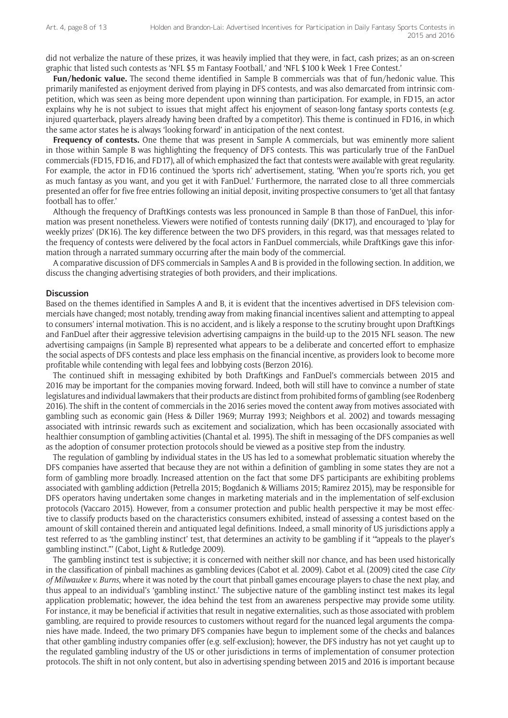did not verbalize the nature of these prizes, it was heavily implied that they were, in fact, cash prizes; as an on-screen graphic that listed such contests as 'NFL \$5 m Fantasy Football,' and 'NFL \$100 k Week 1 Free Contest.'

**Fun/hedonic value.** The second theme identified in Sample B commercials was that of fun/hedonic value. This primarily manifested as enjoyment derived from playing in DFS contests, and was also demarcated from intrinsic competition, which was seen as being more dependent upon winning than participation. For example, in FD15, an actor explains why he is not subject to issues that might affect his enjoyment of season-long fantasy sports contests (e.g. injured quarterback, players already having been drafted by a competitor). This theme is continued in FD16, in which the same actor states he is always 'looking forward' in anticipation of the next contest.

**Frequency of contests.** One theme that was present in Sample A commercials, but was eminently more salient in those within Sample B was highlighting the frequency of DFS contests. This was particularly true of the FanDuel commercials (FD15, FD16, and FD17), all of which emphasized the fact that contests were available with great regularity. For example, the actor in FD16 continued the 'sports rich' advertisement, stating, 'When you're sports rich, you get as much fantasy as you want, and you get it with FanDuel.' Furthermore, the narrated close to all three commercials presented an offer for five free entries following an initial deposit, inviting prospective consumers to 'get all that fantasy football has to offer.'

Although the frequency of DraftKings contests was less pronounced in Sample B than those of FanDuel, this information was present nonetheless. Viewers were notified of 'contests running daily' (DK17), and encouraged to 'play for weekly prizes' (DK16). The key difference between the two DFS providers, in this regard, was that messages related to the frequency of contests were delivered by the focal actors in FanDuel commercials, while DraftKings gave this information through a narrated summary occurring after the main body of the commercial.

A comparative discussion of DFS commercials in Samples A and B is provided in the following section. In addition, we discuss the changing advertising strategies of both providers, and their implications.

#### **Discussion**

Based on the themes identified in Samples A and B, it is evident that the incentives advertised in DFS television commercials have changed; most notably, trending away from making financial incentives salient and attempting to appeal to consumers' internal motivation. This is no accident, and is likely a response to the scrutiny brought upon DraftKings and FanDuel after their aggressive television advertising campaigns in the build-up to the 2015 NFL season. The new advertising campaigns (in Sample B) represented what appears to be a deliberate and concerted effort to emphasize the social aspects of DFS contests and place less emphasis on the financial incentive, as providers look to become more profitable while contending with legal fees and lobbying costs (Berzon 2016).

The continued shift in messaging exhibited by both DraftKings and FanDuel's commercials between 2015 and 2016 may be important for the companies moving forward. Indeed, both will still have to convince a number of state legislatures and individual lawmakers that their products are distinct from prohibited forms of gambling (see Rodenberg 2016). The shift in the content of commercials in the 2016 series moved the content away from motives associated with gambling such as economic gain (Hess & Diller 1969; Murray 1993; Neighbors et al. 2002) and towards messaging associated with intrinsic rewards such as excitement and socialization, which has been occasionally associated with healthier consumption of gambling activities (Chantal et al. 1995). The shift in messaging of the DFS companies as well as the adoption of consumer protection protocols should be viewed as a positive step from the industry.

The regulation of gambling by individual states in the US has led to a somewhat problematic situation whereby the DFS companies have asserted that because they are not within a definition of gambling in some states they are not a form of gambling more broadly. Increased attention on the fact that some DFS participants are exhibiting problems associated with gambling addiction (Petrella 2015; Bogdanich & Williams 2015; Ramirez 2015), may be responsible for DFS operators having undertaken some changes in marketing materials and in the implementation of self-exclusion protocols (Vaccaro 2015). However, from a consumer protection and public health perspective it may be most effective to classify products based on the characteristics consumers exhibited, instead of assessing a contest based on the amount of skill contained therein and antiquated legal definitions. Indeed, a small minority of US jurisdictions apply a test referred to as 'the gambling instinct' test, that determines an activity to be gambling if it '"appeals to the player's gambling instinct."' (Cabot, Light & Rutledge 2009).

The gambling instinct test is subjective; it is concerned with neither skill nor chance, and has been used historically in the classification of pinball machines as gambling devices (Cabot et al. 2009). Cabot et al. (2009) cited the case *City of Milwaukee v. Burns*, where it was noted by the court that pinball games encourage players to chase the next play, and thus appeal to an individual's 'gambling instinct.' The subjective nature of the gambling instinct test makes its legal application problematic; however, the idea behind the test from an awareness perspective may provide some utility. For instance, it may be beneficial if activities that result in negative externalities, such as those associated with problem gambling, are required to provide resources to customers without regard for the nuanced legal arguments the companies have made. Indeed, the two primary DFS companies have begun to implement some of the checks and balances that other gambling industry companies offer (e.g. self-exclusion); however, the DFS industry has not yet caught up to the regulated gambling industry of the US or other jurisdictions in terms of implementation of consumer protection protocols. The shift in not only content, but also in advertising spending between 2015 and 2016 is important because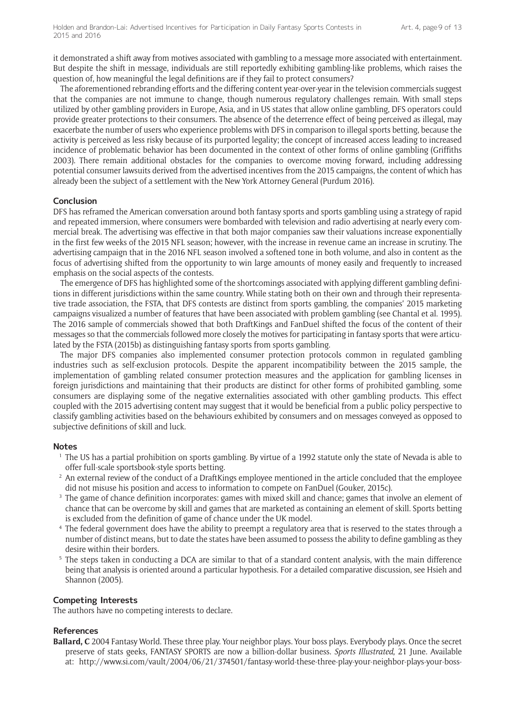it demonstrated a shift away from motives associated with gambling to a message more associated with entertainment. But despite the shift in message, individuals are still reportedly exhibiting gambling-like problems, which raises the question of, how meaningful the legal definitions are if they fail to protect consumers?

The aforementioned rebranding efforts and the differing content year-over-year in the television commercials suggest that the companies are not immune to change, though numerous regulatory challenges remain. With small steps utilized by other gambling providers in Europe, Asia, and in US states that allow online gambling, DFS operators could provide greater protections to their consumers. The absence of the deterrence effect of being perceived as illegal, may exacerbate the number of users who experience problems with DFS in comparison to illegal sports betting, because the activity is perceived as less risky because of its purported legality; the concept of increased access leading to increased incidence of problematic behavior has been documented in the context of other forms of online gambling (Griffiths 2003). There remain additional obstacles for the companies to overcome moving forward, including addressing potential consumer lawsuits derived from the advertised incentives from the 2015 campaigns, the content of which has already been the subject of a settlement with the New York Attorney General (Purdum 2016).

# **Conclusion**

DFS has reframed the American conversation around both fantasy sports and sports gambling using a strategy of rapid and repeated immersion, where consumers were bombarded with television and radio advertising at nearly every commercial break. The advertising was effective in that both major companies saw their valuations increase exponentially in the first few weeks of the 2015 NFL season; however, with the increase in revenue came an increase in scrutiny. The advertising campaign that in the 2016 NFL season involved a softened tone in both volume, and also in content as the focus of advertising shifted from the opportunity to win large amounts of money easily and frequently to increased emphasis on the social aspects of the contests.

The emergence of DFS has highlighted some of the shortcomings associated with applying different gambling definitions in different jurisdictions within the same country. While stating both on their own and through their representative trade association, the FSTA, that DFS contests are distinct from sports gambling, the companies' 2015 marketing campaigns visualized a number of features that have been associated with problem gambling (see Chantal et al. 1995). The 2016 sample of commercials showed that both DraftKings and FanDuel shifted the focus of the content of their messages so that the commercials followed more closely the motives for participating in fantasy sports that were articulated by the FSTA (2015b) as distinguishing fantasy sports from sports gambling.

The major DFS companies also implemented consumer protection protocols common in regulated gambling industries such as self-exclusion protocols. Despite the apparent incompatibility between the 2015 sample, the implementation of gambling related consumer protection measures and the application for gambling licenses in foreign jurisdictions and maintaining that their products are distinct for other forms of prohibited gambling, some consumers are displaying some of the negative externalities associated with other gambling products. This effect coupled with the 2015 advertising content may suggest that it would be beneficial from a public policy perspective to classify gambling activities based on the behaviours exhibited by consumers and on messages conveyed as opposed to subjective definitions of skill and luck.

#### **Notes**

- <sup>1</sup> The US has a partial prohibition on sports gambling. By virtue of a 1992 statute only the state of Nevada is able to offer full-scale sportsbook-style sports betting.
- <sup>2</sup> An external review of the conduct of a DraftKings employee mentioned in the article concluded that the employee did not misuse his position and access to information to compete on FanDuel (Gouker, 2015c).
- The game of chance definition incorporates: games with mixed skill and chance; games that involve an element of chance that can be overcome by skill and games that are marketed as containing an element of skill. Sports betting is excluded from the definition of game of chance under the UK model.
- <sup>4</sup> The federal government does have the ability to preempt a regulatory area that is reserved to the states through a number of distinct means, but to date the states have been assumed to possess the ability to define gambling as they desire within their borders.
- <sup>5</sup> The steps taken in conducting a DCA are similar to that of a standard content analysis, with the main difference being that analysis is oriented around a particular hypothesis. For a detailed comparative discussion, see Hsieh and Shannon (2005).

#### **Competing Interests**

The authors have no competing interests to declare.

#### **References**

**Ballard, C** 2004 Fantasy World. These three play. Your neighbor plays. Your boss plays. Everybody plays. Once the secret preserve of stats geeks, FANTASY SPORTS are now a billion-dollar business. *Sports Illustrated*, 21 June. Available at: [http://www.si.com/vault/2004/06/21/374501/fantasy-world-these-three-play-your-neighbor-plays-your-boss-](http://www.si.com/vault/2004/06/21/374501/fantasy-world-these-three-play-your-neighbor-plays-your-boss-plays-everybody-plays-once-the-secret-preserve-of-stats-geeks-fantasy-sports-are-now-a-billion-dollar-business)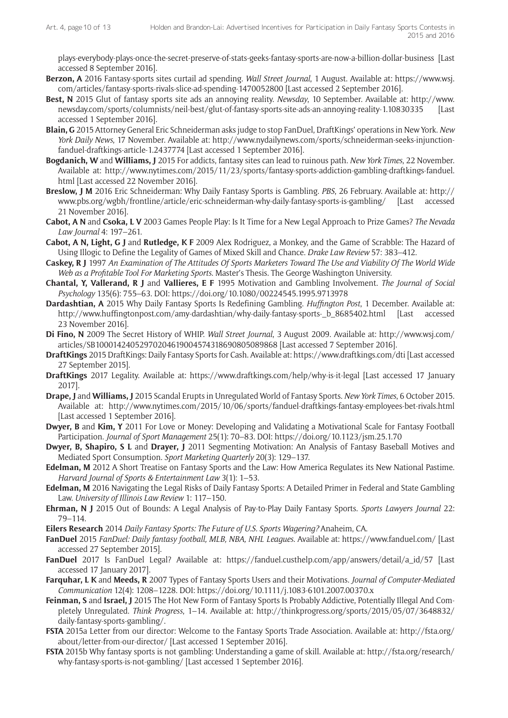[plays-everybody-plays-once-the-secret-preserve-of-stats-geeks-fantasy-sports-are-now-a-billion-dollar-business](http://www.si.com/vault/2004/06/21/374501/fantasy-world-these-three-play-your-neighbor-plays-your-boss-plays-everybody-plays-once-the-secret-preserve-of-stats-geeks-fantasy-sports-are-now-a-billion-dollar-business) [Last accessed 8 September 2016].

- **Berzon, A** 2016 Fantasy-sports sites curtail ad spending. *Wall Street Journal*, 1 August. Available at: [https://www.wsj.](https://www.wsj.com/articles/fantasy-sports-rivals-slice-ad-spending-1470052800) [com/articles/fantasy-sports-rivals-slice-ad-spending-1470052800](https://www.wsj.com/articles/fantasy-sports-rivals-slice-ad-spending-1470052800) [Last accessed 2 September 2016].
- **Best, N** 2015 Glut of fantasy sports site ads an annoying reality. *Newsday*, 10 September. Available at: [http://www.](http://www.newsday.com/sports/columnists/neil-best/glut-of-fantasy-sports-site-ads-an-annoying-reality-1.10830335) [newsday.com/sports/columnists/neil-best/glut-of-fantasy-sports-site-ads-an-annoying-reality-1.10830335](http://www.newsday.com/sports/columnists/neil-best/glut-of-fantasy-sports-site-ads-an-annoying-reality-1.10830335) [Last accessed 1 September 2016].
- **Blain, G** 2015 Attorney General Eric Schneiderman asks judge to stop FanDuel, DraftKings' operations in New York. *New York Daily News*, 17 November. Available at: [http://www.nydailynews.com/sports/schneiderman-seeks-injunction](http://www.nydailynews.com/sports/schneiderman-seeks-injunction-fanduel-draftkings-article-1.2437774)[fanduel-draftkings-article-1.2437774](http://www.nydailynews.com/sports/schneiderman-seeks-injunction-fanduel-draftkings-article-1.2437774) [Last accessed 1 September 2016].
- **Bogdanich, W** and **Williams, J** 2015 For addicts, fantasy sites can lead to ruinous path. *New York Times*, 22 November. Available at: [http://www.nytimes.com/2015/11/23/sports/fantasy-sports-addiction-gambling-draftkings-fanduel.](http://www.nytimes.com/2015/11/23/sports/fantasy-sports-addiction-gambling-draftkings-fanduel.html) [html](http://www.nytimes.com/2015/11/23/sports/fantasy-sports-addiction-gambling-draftkings-fanduel.html) [Last accessed 22 November 2016].
- **Breslow, J M** 2016 Eric Schneiderman: Why Daily Fantasy Sports is Gambling. *PBS*, 26 February. Available at: [http://](http://www.pbs.org/wgbh/frontline/article/eric-schneiderman-why-daily-fantasy-sports-is-gambling/) [www.pbs.org/wgbh/frontline/article/eric-schneiderman-why-daily-fantasy-sports-is-gambling/](http://www.pbs.org/wgbh/frontline/article/eric-schneiderman-why-daily-fantasy-sports-is-gambling/) [Last accessed 21 November 2016].
- **Cabot, A N** and **Csoka, L V** 2003 Games People Play: Is It Time for a New Legal Approach to Prize Games? *The Nevada Law Journal* 4: 197–261.
- **Cabot, A N, Light, G J** and **Rutledge, K F** 2009 Alex Rodriguez, a Monkey, and the Game of Scrabble: The Hazard of Using Illogic to Define the Legality of Games of Mixed Skill and Chance. *Drake Law Review* 57: 383–412.
- **Caskey, R J** 1997 *An Examination of The Attitudes Of Sports Marketers Toward The Use and Viability Of The World Wide Web as a Profitable Tool For Marketing Sports*. Master's Thesis. The George Washington University.
- **Chantal, Y, Vallerand, R J** and **Vallieres, E F** 1995 Motivation and Gambling Involvement. *The Journal of Social Psychology* 135(6): 755–63. DOI:<https://doi.org/10.1080/00224545.1995.9713978>
- **Dardashtian, A** 2015 Why Daily Fantasy Sports Is Redefining Gambling. *Huffington Post*, 1 December. Available at: [http://www.huffingtonpost.com/amy-dardashtian/why-daily-fantasy-sports-\\_b\\_8685402.html](http://www.huffingtonpost.com/amy-dardashtian/why-daily-fantasy-sports-_b_8685402.html) [Last accessed 23 November 2016].
- **Di Fino, N** 2009 The Secret History of WHIP. *Wall Street Journal*, 3 August 2009. Available at: [http://www.wsj.com/](http://www.wsj.com/articles/SB10001424052970204619004574318690805089868) [articles/SB10001424052970204619004574318690805089868](http://www.wsj.com/articles/SB10001424052970204619004574318690805089868) [Last accessed 7 September 2016].
- **DraftKings** 2015 DraftKings: Daily Fantasy Sports for Cash. Available at:<https://www.draftkings.com/dti> [Last accessed 27 September 2015].
- **DraftKings** 2017 Legality. Available at: <https://www.draftkings.com/help/why-is-it-legal>[Last accessed 17 January 2017].
- **Drape, J** and **Williams, J** 2015 Scandal Erupts in Unregulated World of Fantasy Sports. *New York Times*, 6 October 2015. Available at: <http://www.nytimes.com/2015/10/06/sports/fanduel-draftkings-fantasy-employees-bet-rivals.html> [Last accessed 1 September 2016].
- **Dwyer, B** and **Kim, Y** 2011 For Love or Money: Developing and Validating a Motivational Scale for Fantasy Football Participation. *Journal of Sport Management* 25(1): 70–83. DOI: <https://doi.org/10.1123/jsm.25.1.70>
- **Dwyer, B, Shapiro, S L** and **Drayer, J** 2011 Segmenting Motivation: An Analysis of Fantasy Baseball Motives and Mediated Sport Consumption. *Sport Marketing Quarterly* 20(3): 129–137.
- **Edelman, M** 2012 A Short Treatise on Fantasy Sports and the Law: How America Regulates its New National Pastime. *Harvard Journal of Sports & Entertainment Law* 3(1): 1–53.
- **Edelman, M** 2016 Navigating the Legal Risks of Daily Fantasy Sports: A Detailed Primer in Federal and State Gambling Law. *University of Illinois Law Review* 1: 117–150.
- **Ehrman, N J** 2015 Out of Bounds: A Legal Analysis of Pay-to-Play Daily Fantasy Sports. *Sports Lawyers Journal* 22: 79–114.
- **Eilers Research** 2014 *Daily Fantasy Sports: The Future of U.S. Sports Wagering?* Anaheim, CA.
- **FanDuel** 2015 *FanDuel: Daily fantasy football, MLB, NBA, NHL Leagues*. Available at: <https://www.fanduel.com/> [Last accessed 27 September 2015].
- **FanDuel** 2017 Is FanDuel Legal? Available at: [https://fanduel.custhelp.com/app/answers/detail/a\\_id/57](https://fanduel.custhelp.com/app/answers/detail/a_id/57) [Last accessed 17 January 2017].
- **Farquhar, L K** and **Meeds, R** 2007 Types of Fantasy Sports Users and their Motivations. *Journal of Computer-Mediated Communication* 12(4): 1208–1228. DOI:<https://doi.org/10.1111/j.1083-6101.2007.00370.x>
- **Feinman, S** and **Israel, J** 2015 The Hot New Form of Fantasy Sports Is Probably Addictive, Potentially Illegal And Completely Unregulated. *Think Progress*, 1–14. Available at: [http://thinkprogress.org/sports/2015/05/07/3648832/](http://thinkprogress.org/sports/2015/05/07/3648832/daily-fantasy-sports-gambling/) [daily-fantasy-sports-gambling/](http://thinkprogress.org/sports/2015/05/07/3648832/daily-fantasy-sports-gambling/).
- **FSTA** 2015a Letter from our director: Welcome to the Fantasy Sports Trade Association. Available at: [http://fsta.org/](http://fsta.org/about/letter-from-our-director/) [about/letter-from-our-director/](http://fsta.org/about/letter-from-our-director/) [Last accessed 1 September 2016].
- **FSTA** 2015b Why fantasy sports is not gambling: Understanding a game of skill. Available at: [http://fsta.org/research/](http://fsta.org/research/why-fantasy-sports-is-not-gambling/) [why-fantasy-sports-is-not-gambling/](http://fsta.org/research/why-fantasy-sports-is-not-gambling/) [Last accessed 1 September 2016].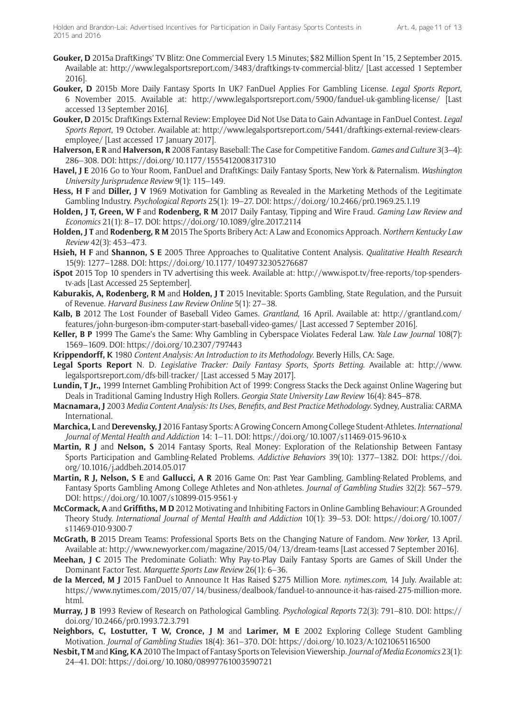- **Gouker, D** 2015a DraftKings' TV Blitz: One Commercial Every 1.5 Minutes; \$82 Million Spent In '15, 2 September 2015. Available at: <http://www.legalsportsreport.com/3483/draftkings-tv-commercial-blitz/> [Last accessed 1 September 2016].
- **Gouker, D** 2015b More Daily Fantasy Sports In UK? FanDuel Applies For Gambling License. *Legal Sports Report*, 6 November 2015. Available at: <http://www.legalsportsreport.com/5900/fanduel-uk-gambling-license/>[Last accessed 13 September 2016].
- **Gouker, D** 2015c DraftKings External Review: Employee Did Not Use Data to Gain Advantage in FanDuel Contest. *Legal Sports Report*, 19 October. Available at: [http://www.legalsportsreport.com/5441/draftkings-external-review-clears](http://www.legalsportsreport.com/5441/draftkings-external-review-clears-employee/)[employee/](http://www.legalsportsreport.com/5441/draftkings-external-review-clears-employee/) [Last accessed 17 January 2017].
- **Halverson, E R** and **Halverson, R** 2008 Fantasy Baseball: The Case for Competitive Fandom. *Games and Culture* 3(3–4): 286–308. DOI: <https://doi.org/10.1177/1555412008317310>
- **Havel, J E** 2016 Go to Your Room, FanDuel and DraftKings: Daily Fantasy Sports, New York & Paternalism. *Washington University Jurisprudence Review* 9(1): 115–149.
- **Hess, H F** and **Diller, J V** 1969 Motivation for Gambling as Revealed in the Marketing Methods of the Legitimate Gambling Industry. *Psychological Reports* 25(1): 19–27. DOI:<https://doi.org/10.2466/pr0.1969.25.1.19>
- **Holden, J T, Green, W F** and **Rodenberg, R M** 2017 Daily Fantasy, Tipping and Wire Fraud. *Gaming Law Review and Economics* 21(1): 8–17. DOI: <https://doi.org/10.1089/glre.2017.2114>
- **Holden, J T** and **Rodenberg, R M** 2015 The Sports Bribery Act: A Law and Economics Approach. *Northern Kentucky Law Review* 42(3): 453–473.
- **Hsieh, H F** and **Shannon, S E** 2005 Three Approaches to Qualitative Content Analysis. *Qualitative Health Research* 15(9): 1277–1288. DOI:<https://doi.org/10.1177/1049732305276687>
- **iSpot** 2015 Top 10 spenders in TV advertising this week. Available at: [http://www.ispot.tv/free-reports/top-spenders](http://www.ispot.tv/free-reports/top-spenders-tv-ads)[tv-ads](http://www.ispot.tv/free-reports/top-spenders-tv-ads) [Last Accessed 25 September].
- **Kaburakis, A, Rodenberg, R M** and **Holden, J T** 2015 Inevitable: Sports Gambling, State Regulation, and the Pursuit of Revenue. *Harvard Business Law Review Online* 5(1): 27–38.
- **Kalb, B** 2012 The Lost Founder of Baseball Video Games. *Grantland*, 16 April. Available at: [http://grantland.com/](http://grantland.com/features/john-burgeson-ibm-computer-start-baseball-video-games/) [features/john-burgeson-ibm-computer-start-baseball-video-games/](http://grantland.com/features/john-burgeson-ibm-computer-start-baseball-video-games/) [Last accessed 7 September 2016].
- **Keller, B P** 1999 The Game's the Same: Why Gambling in Cyberspace Violates Federal Law. *Yale Law Journal* 108(7): 1569–1609. DOI: <https://doi.org/10.2307/797443>
- **Krippendorff, K** 1980 *Content Analysis: An Introduction to its Methodology*. Beverly Hills, CA: Sage.
- **Legal Sports Report** N. D. *Legislative Tracker: Daily Fantasy Sports, Sports Betting*. Available at: [http://www.](http://www.legalsportsreport.com/dfs-bill-tracker/) [legalsportsreport.com/dfs-bill-tracker/](http://www.legalsportsreport.com/dfs-bill-tracker/) [Last accessed 5 May 2017].
- **Lundin, T Jr.,** 1999 Internet Gambling Prohibition Act of 1999: Congress Stacks the Deck against Online Wagering but Deals in Traditional Gaming Industry High Rollers. *Georgia State University Law Review* 16(4): 845–878.
- **Macnamara, J** 2003 *Media Content Analysis: Its Uses, Benefits, and Best Practice Methodology*. Sydney, Australia: CARMA International.
- **Marchica, L** and **Derevensky, J** 2016 Fantasy Sports: A Growing Concern Among College Student-Athletes. *International Journal of Mental Health and Addiction* 14: 1–11. DOI:<https://doi.org/10.1007/s11469-015-9610-x>
- **Martin, R J** and **Nelson, S** 2014 Fantasy Sports, Real Money: Exploration of the Relationship Between Fantasy Sports Participation and Gambling-Related Problems. *Addictive Behaviors* 39(10): 1377–1382. DOI: [https://doi.](https://doi.org/10.1016/j.addbeh.2014.05.017) [org/10.1016/j.addbeh.2014.05.017](https://doi.org/10.1016/j.addbeh.2014.05.017)
- **Martin, R J, Nelson, S E** and **Gallucci, A R** 2016 Game On: Past Year Gambling, Gambling-Related Problems, and Fantasy Sports Gambling Among College Athletes and Non-athletes. *Journal of Gambling Studies* 32(2): 567–579. DOI:<https://doi.org/10.1007/s10899-015-9561-y>
- **McCormack, A** and **Griffiths, M D** 2012 Motivating and Inhibiting Factors in Online Gambling Behaviour: A Grounded Theory Study. *International Journal of Mental Health and Addiction* 10(1): 39–53. DOI: [https://doi.org/10.1007/](https://doi.org/10.1007/s11469-010-9300-7) [s11469-010-9300-7](https://doi.org/10.1007/s11469-010-9300-7)
- **McGrath, B** 2015 Dream Teams: Professional Sports Bets on the Changing Nature of Fandom. *New Yorker*, 13 April. Available at:<http://www.newyorker.com/magazine/2015/04/13/dream-teams> [Last accessed 7 September 2016].
- **Meehan, J C** 2015 The Predominate Goliath: Why Pay-to-Play Daily Fantasy Sports are Games of Skill Under the Dominant Factor Test. *Marquette Sports Law Review* 26(1): 6–36.
- **de la Merced, M J** 2015 FanDuel to Announce It Has Raised \$275 Million More. *[nytimes.com](www.nytimes.com)*, 14 July. Available at: [https://www.nytimes.com/2015/07/14/business/dealbook/fanduel-to-announce-it-has-raised-275-million-more.](https://www.nytimes.com/2015/07/14/business/dealbook/fanduel-to-announce-it-has-raised-275-million-more.html) [html](https://www.nytimes.com/2015/07/14/business/dealbook/fanduel-to-announce-it-has-raised-275-million-more.html).
- **Murray, J B** 1993 Review of Research on Pathological Gambling. *Psychological Reports* 72(3): 791–810. DOI: [https://](https://doi.org/10.2466/pr0.1993.72.3.791) [doi.org/10.2466/pr0.1993.72.3.791](https://doi.org/10.2466/pr0.1993.72.3.791)
- **Neighbors, C, Lostutter, T W, Cronce, J M** and **Larimer, M E** 2002 Exploring College Student Gambling Motivation. *Journal of Gambling Studies* 18(4): 361–370. DOI: <https://doi.org/10.1023/A:1021065116500>
- **Nesbit, T M** and **King, K A** 2010 The Impact of Fantasy Sports on Television Viewership.*Journal of Media Economics* 23(1): 24–41. DOI:<https://doi.org/10.1080/08997761003590721>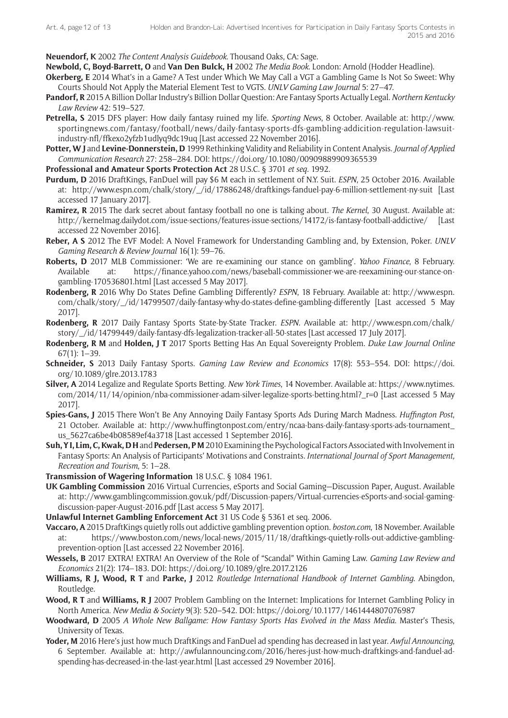**Neuendorf, K** 2002 *The Content Analysis Guidebook*. Thousand Oaks, CA: Sage.

**Newbold, C, Boyd-Barrett, O** and **Van Den Bulck, H** 2002 *The Media Book*. London: Arnold (Hodder Headline).

- **Okerberg, E** 2014 What's in a Game? A Test under Which We May Call a VGT a Gambling Game Is Not So Sweet: Why Courts Should Not Apply the Material Element Test to VGTS. *UNLV Gaming Law Journal* 5: 27–47.
- **Pandorf, R** 2015 A Billion Dollar Industry's Billion Dollar Question: Are Fantasy Sports Actually Legal. *Northern Kentucky Law Review* 42: 519–527.
- **Petrella, S** 2015 DFS player: How daily fantasy ruined my life. *Sporting News*, 8 October. Available at: [http://www.](http://www.sportingnews.com/fantasy/football/news/daily-fantasy-sports-dfs-gambling-addicition-regulation-lawsuit-industry-nfl/ffkexo2yfzb1udlyq9dc19uq) [sportingnews.com/fantasy/football/news/daily-fantasy-sports-dfs-gambling-addicition-regulation-lawsuit](http://www.sportingnews.com/fantasy/football/news/daily-fantasy-sports-dfs-gambling-addicition-regulation-lawsuit-industry-nfl/ffkexo2yfzb1udlyq9dc19uq)[industry-nfl/ffkexo2yfzb1udlyq9dc19uq](http://www.sportingnews.com/fantasy/football/news/daily-fantasy-sports-dfs-gambling-addicition-regulation-lawsuit-industry-nfl/ffkexo2yfzb1udlyq9dc19uq) [Last accessed 22 November 2016].
- **Potter, W J** and **Levine-Donnerstein, D** 1999 Rethinking Validity and Reliability in Content Analysis. *Journal of Applied Communication Research* 27: 258–284. DOI:<https://doi.org/10.1080/00909889909365539>
- **Professional and Amateur Sports Protection Act** 28 U.S.C. § 3701 *et seq.* 1992.
- **Purdum, D** 2016 DraftKings, FanDuel will pay \$6 M each in settlement of N.Y. Suit. *ESPN*, 25 October 2016. Available at: [http://www.espn.com/chalk/story/\\_/id/17886248/draftkings-fanduel-pay-6-million-settlement-ny-suit](http://www.espn.com/chalk/story/_/id/17886248/draftkings-fanduel-pay-6-million-settlement-ny-suit) [Last accessed 17 January 2017].
- **Ramirez, R** 2015 The dark secret about fantasy football no one is talking about. *The Kernel*, 30 August. Available at: <http://kernelmag.dailydot.com/issue-sections/features-issue-sections/14172/is-fantasy-football-addictive/> [Last accessed 22 November 2016].
- **Reber, A S** 2012 The EVF Model: A Novel Framework for Understanding Gambling and, by Extension, Poker. *UNLV Gaming Research & Review Journal* 16(1): 59–76.
- **Roberts, D** 2017 MLB Commissioner: 'We are re-examining our stance on gambling'. *Yahoo Finance*, 8 February. Available at: [https://finance.yahoo.com/news/baseball-commissioner-we-are-reexamining-our-stance-on](https://finance.yahoo.com/news/baseball-commissioner-we-are-reexamining-our-stance-on-gambling-170536801.html)[gambling-170536801.html](https://finance.yahoo.com/news/baseball-commissioner-we-are-reexamining-our-stance-on-gambling-170536801.html) [Last accessed 5 May 2017].
- **Rodenberg, R** 2016 Why Do States Define Gambling Differently? *ESPN*, 18 February. Available at: [http://www.espn.](http://www.espn.com/chalk/story/_/id/14799507/daily-fantasy-why-do-states-define-gambling-differently) [com/chalk/story/\\_/id/14799507/daily-fantasy-why-do-states-define-gambling-differently](http://www.espn.com/chalk/story/_/id/14799507/daily-fantasy-why-do-states-define-gambling-differently) [Last accessed 5 May 2017].
- **Rodenberg, R** 2017 Daily Fantasy Sports State-by-State Tracker. *ESPN*. Available at: [http://www.espn.com/chalk/](http://www.espn.com/chalk/story/_/id/14799449/daily-fantasy-dfs-legalization-tracker-all-50-states) [story/\\_/id/14799449/daily-fantasy-dfs-legalization-tracker-all-50-states](http://www.espn.com/chalk/story/_/id/14799449/daily-fantasy-dfs-legalization-tracker-all-50-states) [Last accessed 17 July 2017].
- **Rodenberg, R M** and **Holden, J T** 2017 Sports Betting Has An Equal Sovereignty Problem. *Duke Law Journal Online* 67(1): 1–39.
- **Schneider, S** 2013 Daily Fantasy Sports. *Gaming Law Review and Economics* 17(8): 553–554. DOI: [https://doi.](https://doi.org/10.1089/glre.2013.1783) [org/10.1089/glre.2013.1783](https://doi.org/10.1089/glre.2013.1783)
- **Silver, A** 2014 Legalize and Regulate Sports Betting. *New York Times*, 14 November. Available at: [https://www.nytimes.](https://www.nytimes.com/2014/11/14/opinion/nba-commissioner-adam-silver-legalize-sports-betting.html?_r=0) [com/2014/11/14/opinion/nba-commissioner-adam-silver-legalize-sports-betting.html?\\_r=0](https://www.nytimes.com/2014/11/14/opinion/nba-commissioner-adam-silver-legalize-sports-betting.html?_r=0) [Last accessed 5 May 2017].
- **Spies-Gans, J** 2015 There Won't Be Any Annoying Daily Fantasy Sports Ads During March Madness. *Huffington Post*, 21 October. Available at: [http://www.huffingtonpost.com/entry/ncaa-bans-daily-fantasy-sports-ads-tournament\\_](http://www.huffingtonpost.com/entry/ncaa-bans-daily-fantasy-sports-ads-tournament_us_5627ca6be4b08589ef4a3718) [us\\_5627ca6be4b08589ef4a3718](http://www.huffingtonpost.com/entry/ncaa-bans-daily-fantasy-sports-ads-tournament_us_5627ca6be4b08589ef4a3718) [Last accessed 1 September 2016].
- **Suh, Y I, Lim, C, Kwak, D H** and **Pedersen, P M** 2010 Examining the Psychological Factors Associated with Involvement in Fantasy Sports: An Analysis of Participants' Motivations and Constraints. *International Journal of Sport Management, Recreation and Tourism*, 5: 1–28.
- **Transmission of Wagering Information** 18 U.S.C. § 1084 1961.
- **UK Gambling Commission** 2016 Virtual Currencies, eSports and Social Gaming—Discussion Paper, August. Available at: [http://www.gamblingcommission.gov.uk/pdf/Discussion-papers/Virtual-currencies-eSports-and-social-gaming](http://www.gamblingcommission.gov.uk/pdf/Discussion-papers/Virtual-currencies-eSports-and-social-gaming-discussion-paper-August-2016.pdf)[discussion-paper-August-2016.pdf](http://www.gamblingcommission.gov.uk/pdf/Discussion-papers/Virtual-currencies-eSports-and-social-gaming-discussion-paper-August-2016.pdf) [Last access 5 May 2017].
- **Unlawful Internet Gambling Enforcement Act** 31 US Code § 5361 et seq. 2006.
- **Vaccaro, A** 2015 DraftKings quietly rolls out addictive gambling prevention option. *[boston.com](https://www.boston.com)*, 18 November. Available at: [https://www.boston.com/news/local-news/2015/11/18/draftkings-quietly-rolls-out-addictive-gambling](https://www.boston.com/news/local-news/2015/11/18/draftkings-quietly-rolls-out-addictive-gambling-prevention-option)[prevention-option](https://www.boston.com/news/local-news/2015/11/18/draftkings-quietly-rolls-out-addictive-gambling-prevention-option) [Last accessed 22 November 2016].
- **Wessels, B** 2017 EXTRA! EXTRA! An Overview of the Role of "Scandal" Within Gaming Law. *Gaming Law Review and Economics* 21(2): 174–183. DOI: <https://doi.org/10.1089/glre.2017.2126>
- **Williams, R J, Wood, R T** and **Parke, J** 2012 *Routledge International Handbook of Internet Gambling*. Abingdon, Routledge.
- **Wood, R T** and **Williams, R J** 2007 Problem Gambling on the Internet: Implications for Internet Gambling Policy in North America. *New Media & Society* 9(3): 520–542. DOI: <https://doi.org/10.1177/1461444807076987>
- **Woodward, D** 2005 *A Whole New Ballgame: How Fantasy Sports Has Evolved in the Mass Media*. Master's Thesis, University of Texas.
- **Yoder, M** 2016 Here's just how much DraftKings and FanDuel ad spending has decreased in last year. *Awful Announcing*, 6 September. Available at: [http://awfulannouncing.com/2016/heres-just-how-much-draftkings-and-fanduel-ad](http://awfulannouncing.com/2016/heres-just-how-much-draftkings-and-fanduel-ad-spending-has-decreased-in-the-last-year.html)[spending-has-decreased-in-the-last-year.html](http://awfulannouncing.com/2016/heres-just-how-much-draftkings-and-fanduel-ad-spending-has-decreased-in-the-last-year.html) [Last accessed 29 November 2016].